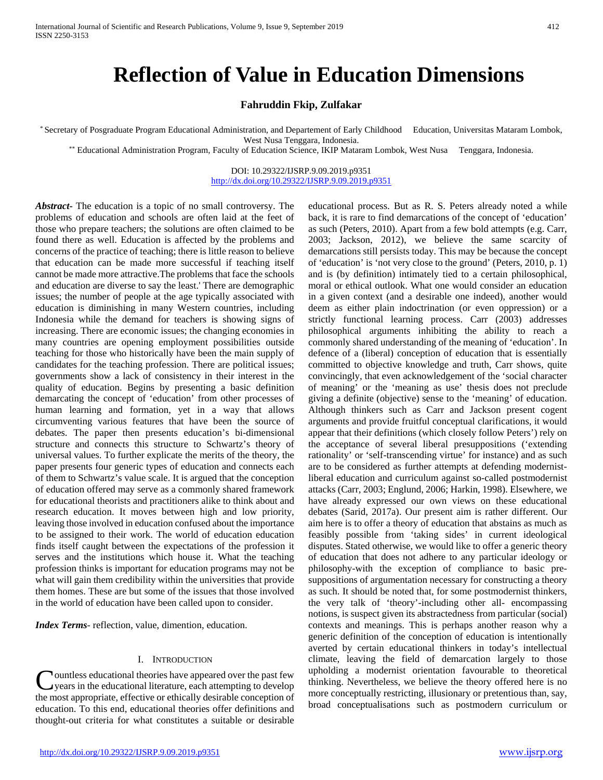# **Reflection of Value in Education Dimensions**

## **Fahruddin Fkip, Zulfakar**

\* Secretary of Posgraduate Program Educational Administration, and Departement of Early Childhood Education, Universitas Mataram Lombok, West Nusa Tenggara, Indonesia.<br>Educational Administration Program, Faculty of Education Science, IKIP Mataram Lombok, West Nusa Tenggara, Indonesia.

DOI: 10.29322/IJSRP.9.09.2019.p9351 <http://dx.doi.org/10.29322/IJSRP.9.09.2019.p9351>

*Abstract***-** The education is a topic of no small controversy. The problems of education and schools are often laid at the feet of those who prepare teachers; the solutions are often claimed to be found there as well. Education is affected by the problems and concerns of the practice of teaching; there is little reason to believe that education can be made more successful if teaching itself cannot be made more attractive.The problems that face the schools and education are diverse to say the least.' There are demographic issues; the number of people at the age typically associated with education is diminishing in many Western countries, including Indonesia while the demand for teachers is showing signs of increasing. There are economic issues; the changing economies in many countries are opening employment possibilities outside teaching for those who historically have been the main supply of candidates for the teaching profession. There are political issues; governments show a lack of consistency in their interest in the quality of education. Begins by presenting a basic definition demarcating the concept of 'education' from other processes of human learning and formation, yet in a way that allows circumventing various features that have been the source of debates. The paper then presents education's bi-dimensional structure and connects this structure to Schwartz's theory of universal values. To further explicate the merits of the theory, the paper presents four generic types of education and connects each of them to Schwartz's value scale. It is argued that the conception of education offered may serve as a commonly shared framework for educational theorists and practitioners alike to think about and research education. It moves between high and low priority, leaving those involved in education confused about the importance to be assigned to their work. The world of education education finds itself caught between the expectations of the profession it serves and the institutions which house it. What the teaching profession thinks is important for education programs may not be what will gain them credibility within the universities that provide them homes. These are but some of the issues that those involved in the world of education have been called upon to consider.

*Index Terms*- reflection, value, dimention, education.

#### I. INTRODUCTION

ountless educational theories have appeared over the past few years in the educational literature, each attempting to develop **C**ountless educational theories have appeared over the past few<br>years in the educational literature, each attempting to develop<br>the most appropriate, effective or ethically desirable conception of education. To this end, educational theories offer definitions and thought-out criteria for what constitutes a suitable or desirable

educational process. But as R. S. Peters already noted a while back, it is rare to find demarcations of the concept of 'education' as such (Peters, 2010). Apart from a few bold attempts (e.g. Carr, 2003; Jackson, 2012), we believe the same scarcity of demarcations still persists today. This may be because the concept of 'education' is 'not very close to the ground' (Peters, 2010, p. 1) and is (by definition) intimately tied to a certain philosophical, moral or ethical outlook. What one would consider an education in a given context (and a desirable one indeed), another would deem as either plain indoctrination (or even oppression) or a strictly functional learning process. Carr (2003) addresses philosophical arguments inhibiting the ability to reach a commonly shared understanding of the meaning of 'education'. In defence of a (liberal) conception of education that is essentially committed to objective knowledge and truth, Carr shows, quite convincingly, that even acknowledgement of the 'social character of meaning' or the 'meaning as use' thesis does not preclude giving a definite (objective) sense to the 'meaning' of education. Although thinkers such as Carr and Jackson present cogent arguments and provide fruitful conceptual clarifications, it would appear that their definitions (which closely follow Peters') rely on the acceptance of several liberal presuppositions ('extending rationality' or 'self-transcending virtue' for instance) and as such are to be considered as further attempts at defending modernistliberal education and curriculum against so-called postmodernist attacks (Carr, 2003; Englund, 2006; Harkin, 1998). Elsewhere, we have already expressed our own views on these educational debates (Sarid, 2017a). Our present aim is rather different. Our aim here is to offer a theory of education that abstains as much as feasibly possible from 'taking sides' in current ideological disputes. Stated otherwise, we would like to offer a generic theory of education that does not adhere to any particular ideology or philosophy-with the exception of compliance to basic presuppositions of argumentation necessary for constructing a theory as such. It should be noted that, for some postmodernist thinkers, the very talk of 'theory'-including other all- encompassing notions, is suspect given its abstractedness from particular (social) contexts and meanings. This is perhaps another reason why a generic definition of the conception of education is intentionally averted by certain educational thinkers in today's intellectual climate, leaving the field of demarcation largely to those upholding a modernist orientation favourable to theoretical thinking. Nevertheless, we believe the theory offered here is no more conceptually restricting, illusionary or pretentious than, say, broad conceptualisations such as postmodern curriculum or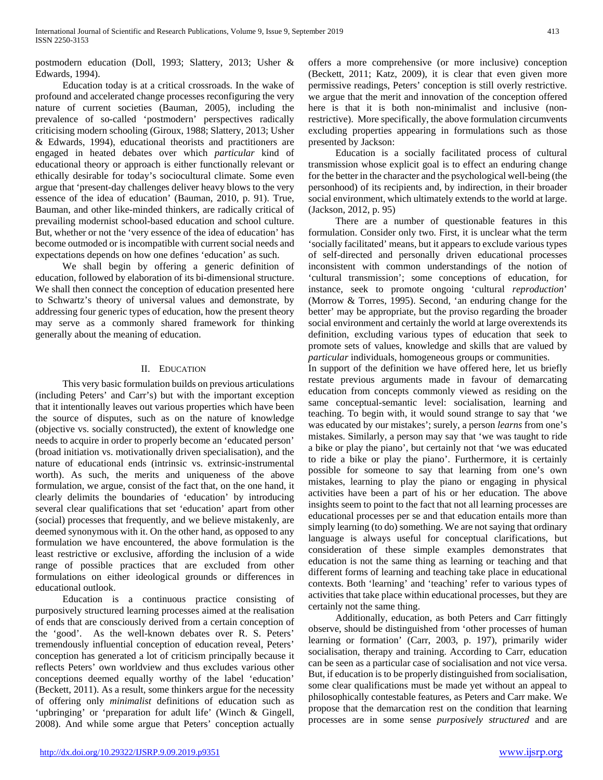postmodern education (Doll, 1993; Slattery, 2013; Usher & Edwards, 1994).

 Education today is at a critical crossroads. In the wake of profound and accelerated change processes reconfiguring the very nature of current societies (Bauman, 2005), including the prevalence of so-called 'postmodern' perspectives radically criticising modern schooling (Giroux, 1988; Slattery, 2013; Usher & Edwards, 1994), educational theorists and practitioners are engaged in heated debates over which *particular* kind of educational theory or approach is either functionally relevant or ethically desirable for today's sociocultural climate. Some even argue that 'present-day challenges deliver heavy blows to the very essence of the idea of education' (Bauman, 2010, p. 91). True, Bauman, and other like-minded thinkers, are radically critical of prevailing modernist school-based education and school culture. But, whether or not the 'very essence of the idea of education' has become outmoded or is incompatible with current social needs and expectations depends on how one defines 'education' as such.

 We shall begin by offering a generic definition of education, followed by elaboration of its bi-dimensional structure. We shall then connect the conception of education presented here to Schwartz's theory of universal values and demonstrate, by addressing four generic types of education, how the present theory may serve as a commonly shared framework for thinking generally about the meaning of education.

### II. EDUCATION

 This very basic formulation builds on previous articulations (including Peters' and Carr's) but with the important exception that it intentionally leaves out various properties which have been the source of disputes, such as on the nature of knowledge (objective vs. socially constructed), the extent of knowledge one needs to acquire in order to properly become an 'educated person' (broad initiation vs. motivationally driven specialisation), and the nature of educational ends (intrinsic vs. extrinsic-instrumental worth). As such, the merits and uniqueness of the above formulation, we argue, consist of the fact that, on the one hand, it clearly delimits the boundaries of 'education' by introducing several clear qualifications that set 'education' apart from other (social) processes that frequently, and we believe mistakenly, are deemed synonymous with it. On the other hand, as opposed to any formulation we have encountered, the above formulation is the least restrictive or exclusive, affording the inclusion of a wide range of possible practices that are excluded from other formulations on either ideological grounds or differences in educational outlook.

 Education is a continuous practice consisting of purposively structured learning processes aimed at the realisation of ends that are consciously derived from a certain conception of the 'good'. As the well-known debates over R. S. Peters' tremendously influential conception of education reveal, Peters' conception has generated a lot of criticism principally because it reflects Peters' own worldview and thus excludes various other conceptions deemed equally worthy of the label 'education' (Beckett, 2011). As a result, some thinkers argue for the necessity of offering only *minimalist* definitions of education such as 'upbringing' or 'preparation for adult life' (Winch & Gingell, 2008). And while some argue that Peters' conception actually offers a more comprehensive (or more inclusive) conception (Beckett, 2011; Katz, 2009), it is clear that even given more permissive readings, Peters' conception is still overly restrictive. we argue that the merit and innovation of the conception offered here is that it is both non-minimalist and inclusive (nonrestrictive). More specifically, the above formulation circumvents excluding properties appearing in formulations such as those presented by Jackson:

 Education is a socially facilitated process of cultural transmission whose explicit goal is to effect an enduring change for the better in the character and the psychological well-being (the personhood) of its recipients and, by indirection, in their broader social environment, which ultimately extends to the world at large. (Jackson, 2012, p. 95)

 There are a number of questionable features in this formulation. Consider only two. First, it is unclear what the term 'socially facilitated' means, but it appears to exclude various types of self-directed and personally driven educational processes inconsistent with common understandings of the notion of 'cultural transmission'; some conceptions of education, for instance, seek to promote ongoing 'cultural *reproduction*' (Morrow & Torres, 1995). Second, 'an enduring change for the better' may be appropriate, but the proviso regarding the broader social environment and certainly the world at large overextends its definition, excluding various types of education that seek to promote sets of values, knowledge and skills that are valued by *particular* individuals, homogeneous groups or communities.

In support of the definition we have offered here, let us briefly restate previous arguments made in favour of demarcating education from concepts commonly viewed as residing on the same conceptual-semantic level: socialisation, learning and teaching. To begin with, it would sound strange to say that 'we was educated by our mistakes'; surely, a person *learns* from one's mistakes. Similarly, a person may say that 'we was taught to ride a bike or play the piano', but certainly not that 'we was educated to ride a bike or play the piano'. Furthermore, it is certainly possible for someone to say that learning from one's own mistakes, learning to play the piano or engaging in physical activities have been a part of his or her education. The above insights seem to point to the fact that not all learning processes are educational processes per se and that education entails more than simply learning (to do) something. We are not saying that ordinary language is always useful for conceptual clarifications, but consideration of these simple examples demonstrates that education is not the same thing as learning or teaching and that different forms of learning and teaching take place in educational contexts. Both 'learning' and 'teaching' refer to various types of activities that take place within educational processes, but they are certainly not the same thing.

 Additionally, education, as both Peters and Carr fittingly observe, should be distinguished from 'other processes of human learning or formation' (Carr, 2003, p. 197), primarily wider socialisation, therapy and training. According to Carr, education can be seen as a particular case of socialisation and not vice versa. But, if education is to be properly distinguished from socialisation, some clear qualifications must be made yet without an appeal to philosophically contestable features, as Peters and Carr make. We propose that the demarcation rest on the condition that learning processes are in some sense *purposively structured* and are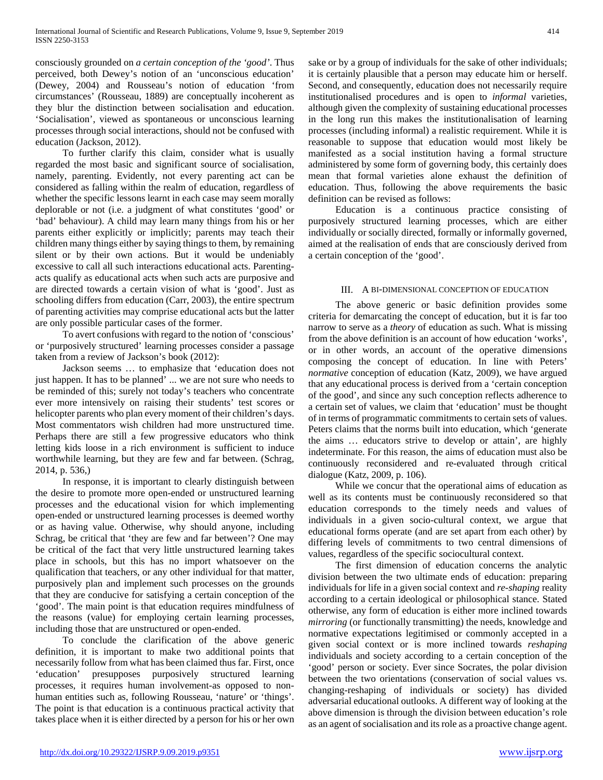consciously grounded on *a certain conception of the 'good'*. Thus perceived, both Dewey's notion of an 'unconscious education' (Dewey, 2004) and Rousseau's notion of education 'from circumstances' (Rousseau, 1889) are conceptually incoherent as they blur the distinction between socialisation and education. 'Socialisation', viewed as spontaneous or unconscious learning processes through social interactions, should not be confused with education (Jackson, 2012).

 To further clarify this claim, consider what is usually regarded the most basic and significant source of socialisation, namely, parenting. Evidently, not every parenting act can be considered as falling within the realm of education, regardless of whether the specific lessons learnt in each case may seem morally deplorable or not (i.e. a judgment of what constitutes 'good' or 'bad' behaviour). A child may learn many things from his or her parents either explicitly or implicitly; parents may teach their children many things either by saying things to them, by remaining silent or by their own actions. But it would be undeniably excessive to call all such interactions educational acts. Parentingacts qualify as educational acts when such acts are purposive and are directed towards a certain vision of what is 'good'. Just as schooling differs from education (Carr, 2003), the entire spectrum of parenting activities may comprise educational acts but the latter are only possible particular cases of the former.

 To avert confusions with regard to the notion of 'conscious' or 'purposively structured' learning processes consider a passage taken from a review of Jackson's book (2012):

 Jackson seems … to emphasize that 'education does not just happen. It has to be planned' ... we are not sure who needs to be reminded of this; surely not today's teachers who concentrate ever more intensively on raising their students' test scores or helicopter parents who plan every moment of their children's days. Most commentators wish children had more unstructured time. Perhaps there are still a few progressive educators who think letting kids loose in a rich environment is sufficient to induce worthwhile learning, but they are few and far between. (Schrag, 2014, p. 536,)

 In response, it is important to clearly distinguish between the desire to promote more open-ended or unstructured learning processes and the educational vision for which implementing open-ended or unstructured learning processes is deemed worthy or as having value. Otherwise, why should anyone, including Schrag, be critical that 'they are few and far between'? One may be critical of the fact that very little unstructured learning takes place in schools, but this has no import whatsoever on the qualification that teachers, or any other individual for that matter, purposively plan and implement such processes on the grounds that they are conducive for satisfying a certain conception of the 'good'. The main point is that education requires mindfulness of the reasons (value) for employing certain learning processes, including those that are unstructured or open-ended.

 To conclude the clarification of the above generic definition, it is important to make two additional points that necessarily follow from what has been claimed thus far. First, once 'education' presupposes purposively structured learning processes, it requires human involvement-as opposed to nonhuman entities such as, following Rousseau, 'nature' or 'things'. The point is that education is a continuous practical activity that takes place when it is either directed by a person for his or her own sake or by a group of individuals for the sake of other individuals; it is certainly plausible that a person may educate him or herself. Second, and consequently, education does not necessarily require institutionalised procedures and is open to *informal* varieties, although given the complexity of sustaining educational processes in the long run this makes the institutionalisation of learning processes (including informal) a realistic requirement. While it is reasonable to suppose that education would most likely be manifested as a social institution having a formal structure administered by some form of governing body, this certainly does mean that formal varieties alone exhaust the definition of education. Thus, following the above requirements the basic definition can be revised as follows:

 Education is a continuous practice consisting of purposively structured learning processes, which are either individually or socially directed, formally or informally governed, aimed at the realisation of ends that are consciously derived from a certain conception of the 'good'.

## III. A BI-DIMENSIONAL CONCEPTION OF EDUCATION

 The above generic or basic definition provides some criteria for demarcating the concept of education, but it is far too narrow to serve as a *theory* of education as such. What is missing from the above definition is an account of how education 'works', or in other words, an account of the operative dimensions composing the concept of education. In line with Peters' *normative* conception of education (Katz, 2009), we have argued that any educational process is derived from a 'certain conception of the good', and since any such conception reflects adherence to a certain set of values, we claim that 'education' must be thought of in terms of programmatic commitments to certain sets of values. Peters claims that the norms built into education, which 'generate the aims … educators strive to develop or attain', are highly indeterminate. For this reason, the aims of education must also be continuously reconsidered and re-evaluated through critical dialogue (Katz, 2009, p. 106).

 While we concur that the operational aims of education as well as its contents must be continuously reconsidered so that education corresponds to the timely needs and values of individuals in a given socio-cultural context, we argue that educational forms operate (and are set apart from each other) by differing levels of commitments to two central dimensions of values, regardless of the specific sociocultural context.

 The first dimension of education concerns the analytic division between the two ultimate ends of education: preparing individuals for life in a given social context and *re*-*shaping* reality according to a certain ideological or philosophical stance. Stated otherwise, any form of education is either more inclined towards *mirroring* (or functionally transmitting) the needs, knowledge and normative expectations legitimised or commonly accepted in a given social context or is more inclined towards *reshaping*  individuals and society according to a certain conception of the 'good' person or society. Ever since Socrates, the polar division between the two orientations (conservation of social values vs. changing-reshaping of individuals or society) has divided adversarial educational outlooks. A different way of looking at the above dimension is through the division between education's role as an agent of socialisation and its role as a proactive change agent.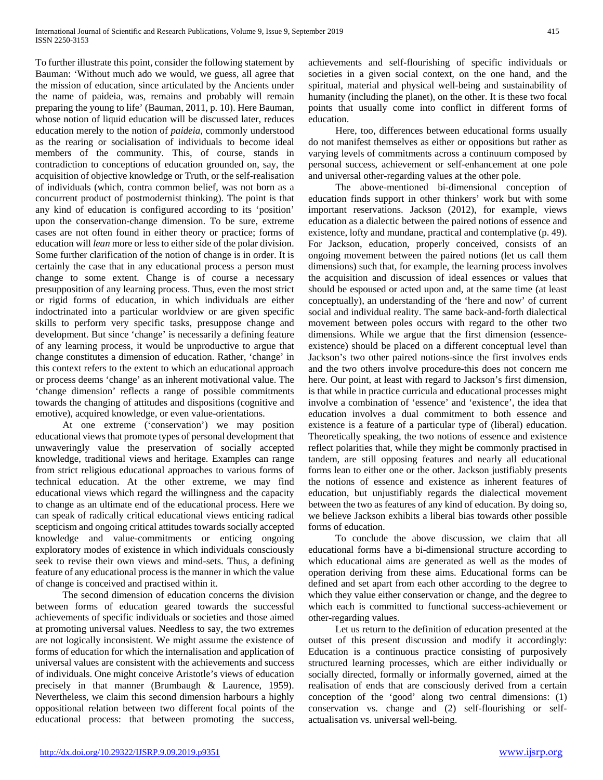To further illustrate this point, consider the following statement by Bauman: 'Without much ado we would, we guess, all agree that the mission of education, since articulated by the Ancients under the name of paideia, was, remains and probably will remain preparing the young to life' (Bauman, 2011, p. 10). Here Bauman, whose notion of liquid education will be discussed later, reduces education merely to the notion of *paideia*, commonly understood as the rearing or socialisation of individuals to become ideal members of the community. This, of course, stands in contradiction to conceptions of education grounded on, say, the acquisition of objective knowledge or Truth, or the self-realisation of individuals (which, contra common belief, was not born as a concurrent product of postmodernist thinking). The point is that any kind of education is configured according to its 'position' upon the conservation-change dimension. To be sure, extreme cases are not often found in either theory or practice; forms of education will *lean* more or less to either side of the polar division. Some further clarification of the notion of change is in order. It is certainly the case that in any educational process a person must change to some extent. Change is of course a necessary presupposition of any learning process. Thus, even the most strict or rigid forms of education, in which individuals are either indoctrinated into a particular worldview or are given specific skills to perform very specific tasks, presuppose change and development. But since 'change' is necessarily a defining feature of any learning process, it would be unproductive to argue that change constitutes a dimension of education. Rather, 'change' in this context refers to the extent to which an educational approach or process deems 'change' as an inherent motivational value. The 'change dimension' reflects a range of possible commitments towards the changing of attitudes and dispositions (cognitive and emotive), acquired knowledge, or even value-orientations.

 At one extreme ('conservation') we may position educational views that promote types of personal development that unwaveringly value the preservation of socially accepted knowledge, traditional views and heritage. Examples can range from strict religious educational approaches to various forms of technical education. At the other extreme, we may find educational views which regard the willingness and the capacity to change as an ultimate end of the educational process. Here we can speak of radically critical educational views enticing radical scepticism and ongoing critical attitudes towards socially accepted knowledge and value-commitments or enticing ongoing exploratory modes of existence in which individuals consciously seek to revise their own views and mind-sets. Thus, a defining feature of any educational process is the manner in which the value of change is conceived and practised within it.

 The second dimension of education concerns the division between forms of education geared towards the successful achievements of specific individuals or societies and those aimed at promoting universal values. Needless to say, the two extremes are not logically inconsistent. We might assume the existence of forms of education for which the internalisation and application of universal values are consistent with the achievements and success of individuals. One might conceive Aristotle's views of education precisely in that manner (Brumbaugh & Laurence, 1959). Nevertheless, we claim this second dimension harbours a highly oppositional relation between two different focal points of the educational process: that between promoting the success,

achievements and self-flourishing of specific individuals or societies in a given social context, on the one hand, and the spiritual, material and physical well-being and sustainability of humanity (including the planet), on the other. It is these two focal points that usually come into conflict in different forms of education.

 Here, too, differences between educational forms usually do not manifest themselves as either or oppositions but rather as varying levels of commitments across a continuum composed by personal success, achievement or self-enhancement at one pole and universal other-regarding values at the other pole.

 The above-mentioned bi-dimensional conception of education finds support in other thinkers' work but with some important reservations. Jackson (2012), for example, views education as a dialectic between the paired notions of essence and existence, lofty and mundane, practical and contemplative (p. 49). For Jackson, education, properly conceived, consists of an ongoing movement between the paired notions (let us call them dimensions) such that, for example, the learning process involves the acquisition and discussion of ideal essences or values that should be espoused or acted upon and, at the same time (at least conceptually), an understanding of the 'here and now' of current social and individual reality. The same back-and-forth dialectical movement between poles occurs with regard to the other two dimensions. While we argue that the first dimension (essenceexistence) should be placed on a different conceptual level than Jackson's two other paired notions-since the first involves ends and the two others involve procedure-this does not concern me here. Our point, at least with regard to Jackson's first dimension, is that while in practice curricula and educational processes might involve a combination of 'essence' and 'existence', the idea that education involves a dual commitment to both essence and existence is a feature of a particular type of (liberal) education. Theoretically speaking, the two notions of essence and existence reflect polarities that, while they might be commonly practised in tandem, are still opposing features and nearly all educational forms lean to either one or the other. Jackson justifiably presents the notions of essence and existence as inherent features of education, but unjustifiably regards the dialectical movement between the two as features of any kind of education. By doing so, we believe Jackson exhibits a liberal bias towards other possible forms of education.

 To conclude the above discussion, we claim that all educational forms have a bi-dimensional structure according to which educational aims are generated as well as the modes of operation deriving from these aims. Educational forms can be defined and set apart from each other according to the degree to which they value either conservation or change, and the degree to which each is committed to functional success-achievement or other-regarding values.

 Let us return to the definition of education presented at the outset of this present discussion and modify it accordingly: Education is a continuous practice consisting of purposively structured learning processes, which are either individually or socially directed, formally or informally governed, aimed at the realisation of ends that are consciously derived from a certain conception of the 'good' along two central dimensions: (1) conservation vs. change and (2) self-flourishing or selfactualisation vs. universal well-being.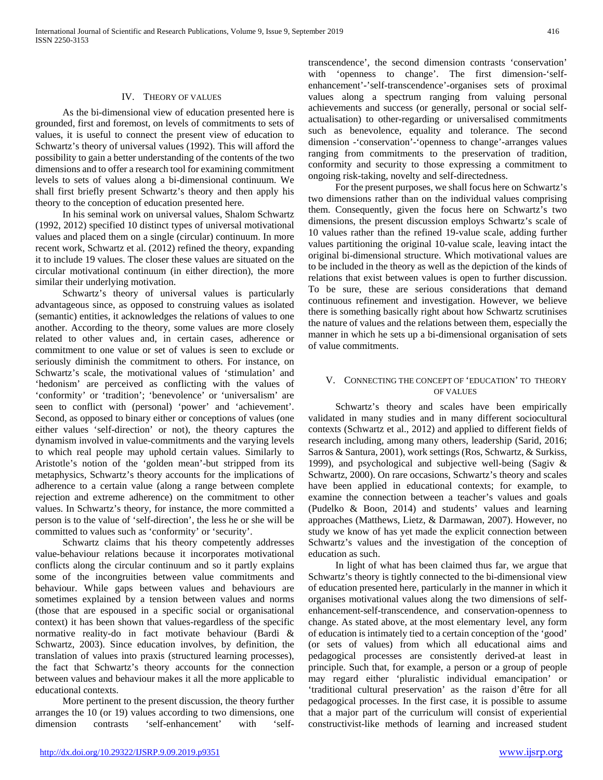## IV. THEORY OF VALUES

 As the bi-dimensional view of education presented here is grounded, first and foremost, on levels of commitments to sets of values, it is useful to connect the present view of education to Schwartz's theory of universal values (1992). This will afford the possibility to gain a better understanding of the contents of the two dimensions and to offer a research tool for examining commitment levels to sets of values along a bi-dimensional continuum. We shall first briefly present Schwartz's theory and then apply his theory to the conception of education presented here.

 In his seminal work on universal values, Shalom Schwartz (1992, 2012) specified 10 distinct types of universal motivational values and placed them on a single (circular) continuum. In more recent work, Schwartz et al. (2012) refined the theory, expanding it to include 19 values. The closer these values are situated on the circular motivational continuum (in either direction), the more similar their underlying motivation.

 Schwartz's theory of universal values is particularly advantageous since, as opposed to construing values as isolated (semantic) entities, it acknowledges the relations of values to one another. According to the theory, some values are more closely related to other values and, in certain cases, adherence or commitment to one value or set of values is seen to exclude or seriously diminish the commitment to others. For instance, on Schwartz's scale, the motivational values of 'stimulation' and 'hedonism' are perceived as conflicting with the values of 'conformity' or 'tradition'; 'benevolence' or 'universalism' are seen to conflict with (personal) 'power' and 'achievement'. Second, as opposed to binary either or conceptions of values (one either values 'self-direction' or not), the theory captures the dynamism involved in value-commitments and the varying levels to which real people may uphold certain values. Similarly to Aristotle's notion of the 'golden mean'-but stripped from its metaphysics, Schwartz's theory accounts for the implications of adherence to a certain value (along a range between complete rejection and extreme adherence) on the commitment to other values. In Schwartz's theory, for instance, the more committed a person is to the value of 'self-direction', the less he or she will be committed to values such as 'conformity' or 'security'.

 Schwartz claims that his theory competently addresses value-behaviour relations because it incorporates motivational conflicts along the circular continuum and so it partly explains some of the incongruities between value commitments and behaviour. While gaps between values and behaviours are sometimes explained by a tension between values and norms (those that are espoused in a specific social or organisational context) it has been shown that values-regardless of the specific normative reality-do in fact motivate behaviour (Bardi & Schwartz, 2003). Since education involves, by definition, the translation of values into praxis (structured learning processes), the fact that Schwartz's theory accounts for the connection between values and behaviour makes it all the more applicable to educational contexts.

 More pertinent to the present discussion, the theory further arranges the 10 (or 19) values according to two dimensions, one dimension contrasts 'self-enhancement' with 'selftranscendence', the second dimension contrasts 'conservation' with 'openness to change'. The first dimension-'selfenhancement'-'self-transcendence'-organises sets of proximal values along a spectrum ranging from valuing personal achievements and success (or generally, personal or social selfactualisation) to other-regarding or universalised commitments such as benevolence, equality and tolerance. The second dimension -'conservation'-'openness to change'-arranges values ranging from commitments to the preservation of tradition, conformity and security to those expressing a commitment to ongoing risk-taking, novelty and self-directedness.

 For the present purposes, we shall focus here on Schwartz's two dimensions rather than on the individual values comprising them. Consequently, given the focus here on Schwartz's two dimensions, the present discussion employs Schwartz's scale of 10 values rather than the refined 19-value scale, adding further values partitioning the original 10-value scale, leaving intact the original bi-dimensional structure. Which motivational values are to be included in the theory as well as the depiction of the kinds of relations that exist between values is open to further discussion. To be sure, these are serious considerations that demand continuous refinement and investigation. However, we believe there is something basically right about how Schwartz scrutinises the nature of values and the relations between them, especially the manner in which he sets up a bi-dimensional organisation of sets of value commitments.

#### V. CONNECTING THE CONCEPT OF 'EDUCATION' TO THEORY OF VALUES

Schwartz's theory and scales have been empirically validated in many studies and in many different sociocultural contexts (Schwartz et al., 2012) and applied to different fields of research including, among many others, leadership (Sarid, 2016; Sarros & Santura, 2001), work settings (Ros, Schwartz, & Surkiss, 1999), and psychological and subjective well-being (Sagiv & Schwartz, 2000). On rare occasions, Schwartz's theory and scales have been applied in educational contexts; for example, to examine the connection between a teacher's values and goals (Pudelko & Boon, 2014) and students' values and learning approaches (Matthews, Lietz, & Darmawan, 2007). However, no study we know of has yet made the explicit connection between Schwartz's values and the investigation of the conception of education as such.

 In light of what has been claimed thus far, we argue that Schwartz's theory is tightly connected to the bi-dimensional view of education presented here, particularly in the manner in which it organises motivational values along the two dimensions of selfenhancement-self-transcendence, and conservation-openness to change. As stated above, at the most elementary level, any form of education is intimately tied to a certain conception of the 'good' (or sets of values) from which all educational aims and pedagogical processes are consistently derived-at least in principle. Such that, for example, a person or a group of people may regard either 'pluralistic individual emancipation' or 'traditional cultural preservation' as the raison d'être for all pedagogical processes. In the first case, it is possible to assume that a major part of the curriculum will consist of experiential constructivist-like methods of learning and increased student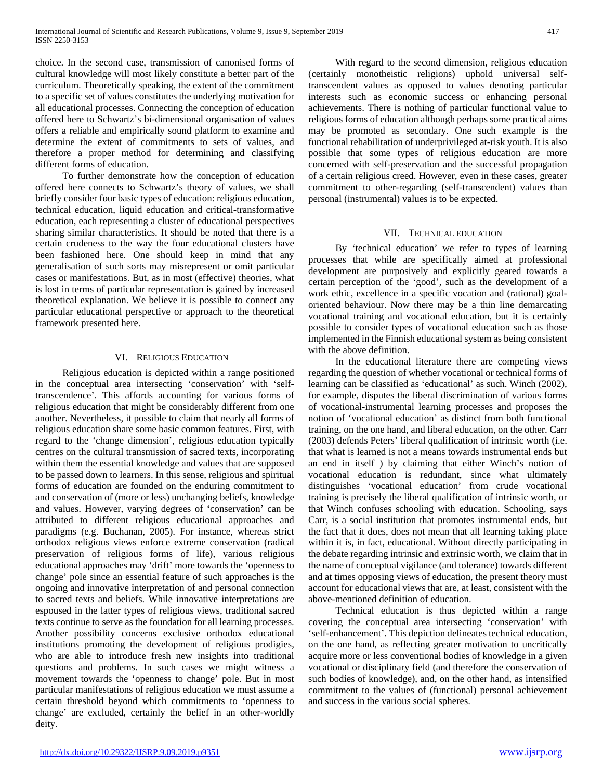choice. In the second case, transmission of canonised forms of cultural knowledge will most likely constitute a better part of the curriculum. Theoretically speaking, the extent of the commitment to a specific set of values constitutes the underlying motivation for all educational processes. Connecting the conception of education offered here to Schwartz's bi-dimensional organisation of values offers a reliable and empirically sound platform to examine and determine the extent of commitments to sets of values, and therefore a proper method for determining and classifying different forms of education.

 To further demonstrate how the conception of education offered here connects to Schwartz's theory of values, we shall briefly consider four basic types of education: religious education, technical education, liquid education and critical-transformative education, each representing a cluster of educational perspectives sharing similar characteristics. It should be noted that there is a certain crudeness to the way the four educational clusters have been fashioned here. One should keep in mind that any generalisation of such sorts may misrepresent or omit particular cases or manifestations. But, as in most (effective) theories, what is lost in terms of particular representation is gained by increased theoretical explanation. We believe it is possible to connect any particular educational perspective or approach to the theoretical framework presented here.

## VI. RELIGIOUS EDUCATION

 Religious education is depicted within a range positioned in the conceptual area intersecting 'conservation' with 'selftranscendence'. This affords accounting for various forms of religious education that might be considerably different from one another. Nevertheless, it possible to claim that nearly all forms of religious education share some basic common features. First, with regard to the 'change dimension', religious education typically centres on the cultural transmission of sacred texts, incorporating within them the essential knowledge and values that are supposed to be passed down to learners. In this sense, religious and spiritual forms of education are founded on the enduring commitment to and conservation of (more or less) unchanging beliefs, knowledge and values. However, varying degrees of 'conservation' can be attributed to different religious educational approaches and paradigms (e.g. Buchanan, 2005). For instance, whereas strict orthodox religious views enforce extreme conservation (radical preservation of religious forms of life), various religious educational approaches may 'drift' more towards the 'openness to change' pole since an essential feature of such approaches is the ongoing and innovative interpretation of and personal connection to sacred texts and beliefs. While innovative interpretations are espoused in the latter types of religious views, traditional sacred texts continue to serve as the foundation for all learning processes. Another possibility concerns exclusive orthodox educational institutions promoting the development of religious prodigies, who are able to introduce fresh new insights into traditional questions and problems. In such cases we might witness a movement towards the 'openness to change' pole. But in most particular manifestations of religious education we must assume a certain threshold beyond which commitments to 'openness to change' are excluded, certainly the belief in an other-worldly deity.

 With regard to the second dimension, religious education (certainly monotheistic religions) uphold universal selftranscendent values as opposed to values denoting particular interests such as economic success or enhancing personal achievements. There is nothing of particular functional value to religious forms of education although perhaps some practical aims may be promoted as secondary. One such example is the functional rehabilitation of underprivileged at-risk youth. It is also possible that some types of religious education are more concerned with self-preservation and the successful propagation of a certain religious creed. However, even in these cases, greater commitment to other-regarding (self-transcendent) values than personal (instrumental) values is to be expected.

## VII. TECHNICAL EDUCATION

 By 'technical education' we refer to types of learning processes that while are specifically aimed at professional development are purposively and explicitly geared towards a certain perception of the 'good', such as the development of a work ethic, excellence in a specific vocation and (rational) goaloriented behaviour. Now there may be a thin line demarcating vocational training and vocational education, but it is certainly possible to consider types of vocational education such as those implemented in the Finnish educational system as being consistent with the above definition.

 In the educational literature there are competing views regarding the question of whether vocational or technical forms of learning can be classified as 'educational' as such. Winch (2002), for example, disputes the liberal discrimination of various forms of vocational-instrumental learning processes and proposes the notion of 'vocational education' as distinct from both functional training, on the one hand, and liberal education, on the other. Carr (2003) defends Peters' liberal qualification of intrinsic worth (i.e. that what is learned is not a means towards instrumental ends but an end in itself ) by claiming that either Winch's notion of vocational education is redundant, since what ultimately distinguishes 'vocational education' from crude vocational training is precisely the liberal qualification of intrinsic worth, or that Winch confuses schooling with education. Schooling, says Carr, is a social institution that promotes instrumental ends, but the fact that it does, does not mean that all learning taking place within it is, in fact, educational. Without directly participating in the debate regarding intrinsic and extrinsic worth, we claim that in the name of conceptual vigilance (and tolerance) towards different and at times opposing views of education, the present theory must account for educational views that are, at least, consistent with the above-mentioned definition of education.

 Technical education is thus depicted within a range covering the conceptual area intersecting 'conservation' with 'self-enhancement'. This depiction delineates technical education, on the one hand, as reflecting greater motivation to uncritically acquire more or less conventional bodies of knowledge in a given vocational or disciplinary field (and therefore the conservation of such bodies of knowledge), and, on the other hand, as intensified commitment to the values of (functional) personal achievement and success in the various social spheres.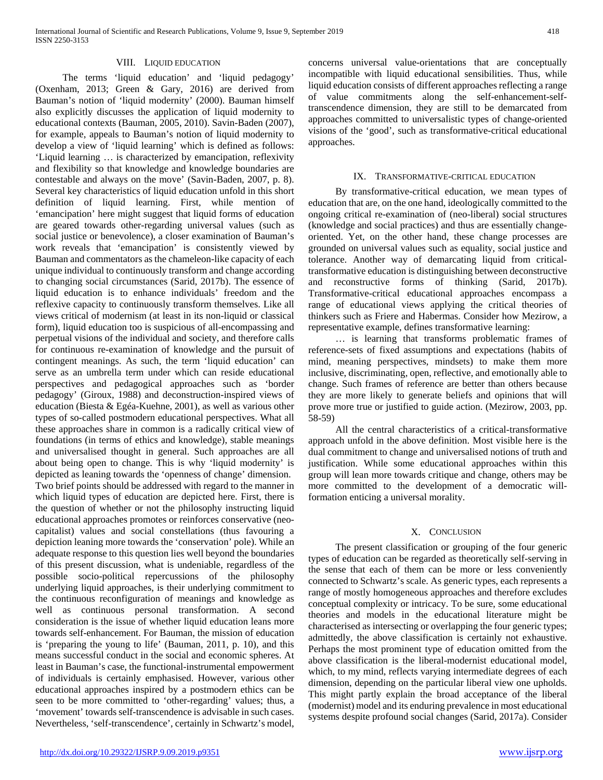#### VIII. LIQUID EDUCATION

 The terms 'liquid education' and 'liquid pedagogy' (Oxenham, 2013; Green & Gary, 2016) are derived from Bauman's notion of 'liquid modernity' (2000). Bauman himself also explicitly discusses the application of liquid modernity to educational contexts (Bauman, 2005, 2010). Savin-Baden (2007), for example, appeals to Bauman's notion of liquid modernity to develop a view of 'liquid learning' which is defined as follows: 'Liquid learning … is characterized by emancipation, reflexivity and flexibility so that knowledge and knowledge boundaries are contestable and always on the move' (Savin-Baden, 2007, p. 8). Several key characteristics of liquid education unfold in this short definition of liquid learning. First, while mention of 'emancipation' here might suggest that liquid forms of education are geared towards other-regarding universal values (such as social justice or benevolence), a closer examination of Bauman's work reveals that 'emancipation' is consistently viewed by Bauman and commentators as the chameleon-like capacity of each unique individual to continuously transform and change according to changing social circumstances (Sarid, 2017b). The essence of liquid education is to enhance individuals' freedom and the reflexive capacity to continuously transform themselves. Like all views critical of modernism (at least in its non-liquid or classical form), liquid education too is suspicious of all-encompassing and perpetual visions of the individual and society, and therefore calls for continuous re-examination of knowledge and the pursuit of contingent meanings. As such, the term 'liquid education' can serve as an umbrella term under which can reside educational perspectives and pedagogical approaches such as 'border pedagogy' (Giroux, 1988) and deconstruction-inspired views of education (Biesta & Egéa-Kuehne, 2001), as well as various other types of so-called postmodern educational perspectives. What all these approaches share in common is a radically critical view of foundations (in terms of ethics and knowledge), stable meanings and universalised thought in general. Such approaches are all about being open to change. This is why 'liquid modernity' is depicted as leaning towards the 'openness of change' dimension. Two brief points should be addressed with regard to the manner in which liquid types of education are depicted here. First, there is the question of whether or not the philosophy instructing liquid educational approaches promotes or reinforces conservative (neocapitalist) values and social constellations (thus favouring a depiction leaning more towards the 'conservation' pole). While an adequate response to this question lies well beyond the boundaries of this present discussion, what is undeniable, regardless of the possible socio-political repercussions of the philosophy underlying liquid approaches, is their underlying commitment to the continuous reconfiguration of meanings and knowledge as well as continuous personal transformation. A second consideration is the issue of whether liquid education leans more towards self-enhancement. For Bauman, the mission of education is 'preparing the young to life' (Bauman, 2011, p. 10), and this means successful conduct in the social and economic spheres. At least in Bauman's case, the functional-instrumental empowerment of individuals is certainly emphasised. However, various other educational approaches inspired by a postmodern ethics can be seen to be more committed to 'other-regarding' values; thus, a 'movement' towards self-transcendence is advisable in such cases. Nevertheless, 'self-transcendence', certainly in Schwartz's model,

concerns universal value-orientations that are conceptually incompatible with liquid educational sensibilities. Thus, while liquid education consists of different approaches reflecting a range of value commitments along the self-enhancement-selftranscendence dimension, they are still to be demarcated from approaches committed to universalistic types of change-oriented visions of the 'good', such as transformative-critical educational approaches.

#### IX. TRANSFORMATIVE-CRITICAL EDUCATION

 By transformative-critical education, we mean types of education that are, on the one hand, ideologically committed to the ongoing critical re-examination of (neo-liberal) social structures (knowledge and social practices) and thus are essentially changeoriented. Yet, on the other hand, these change processes are grounded on universal values such as equality, social justice and tolerance. Another way of demarcating liquid from criticaltransformative education is distinguishing between deconstructive and reconstructive forms of thinking (Sarid, 2017b). Transformative-critical educational approaches encompass a range of educational views applying the critical theories of thinkers such as Friere and Habermas. Consider how Mezirow, a representative example, defines transformative learning:

 … is learning that transforms problematic frames of reference-sets of fixed assumptions and expectations (habits of mind, meaning perspectives, mindsets) to make them more inclusive, discriminating, open, reflective, and emotionally able to change. Such frames of reference are better than others because they are more likely to generate beliefs and opinions that will prove more true or justified to guide action. (Mezirow, 2003, pp. 58-59)

 All the central characteristics of a critical-transformative approach unfold in the above definition. Most visible here is the dual commitment to change and universalised notions of truth and justification. While some educational approaches within this group will lean more towards critique and change, others may be more committed to the development of a democratic willformation enticing a universal morality.

## X. CONCLUSION

 The present classification or grouping of the four generic types of education can be regarded as theoretically self-serving in the sense that each of them can be more or less conveniently connected to Schwartz's scale. As generic types, each represents a range of mostly homogeneous approaches and therefore excludes conceptual complexity or intricacy. To be sure, some educational theories and models in the educational literature might be characterised as intersecting or overlapping the four generic types; admittedly, the above classification is certainly not exhaustive. Perhaps the most prominent type of education omitted from the above classification is the liberal-modernist educational model, which, to my mind, reflects varying intermediate degrees of each dimension, depending on the particular liberal view one upholds. This might partly explain the broad acceptance of the liberal (modernist) model and its enduring prevalence in most educational systems despite profound social changes (Sarid, 2017a). Consider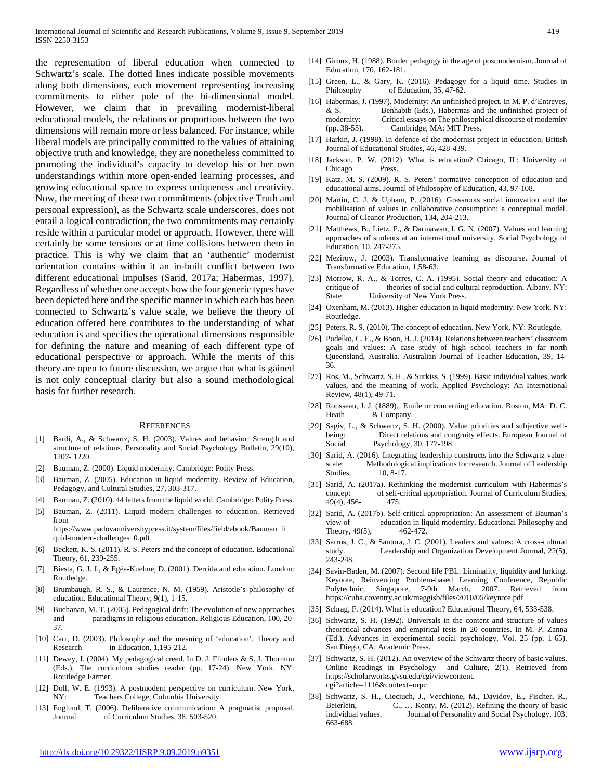the representation of liberal education when connected to Schwartz's scale. The dotted lines indicate possible movements along both dimensions, each movement representing increasing commitments to either pole of the bi-dimensional model. However, we claim that in prevailing modernist-liberal educational models, the relations or proportions between the two dimensions will remain more or less balanced. For instance, while liberal models are principally committed to the values of attaining objective truth and knowledge, they are nonetheless committed to promoting the individual's capacity to develop his or her own understandings within more open-ended learning processes, and growing educational space to express uniqueness and creativity. Now, the meeting of these two commitments (objective Truth and personal expression), as the Schwartz scale underscores, does not entail a logical contradiction; the two commitments may certainly reside within a particular model or approach. However, there will certainly be some tensions or at time collisions between them in practice. This is why we claim that an 'authentic' modernist orientation contains within it an in-built conflict between two different educational impulses (Sarid, 2017a; Habermas, 1997). Regardless of whether one accepts how the four generic types have been depicted here and the specific manner in which each has been connected to Schwartz's value scale, we believe the theory of education offered here contributes to the understanding of what education is and specifies the operational dimensions responsible for defining the nature and meaning of each different type of educational perspective or approach. While the merits of this theory are open to future discussion, we argue that what is gained is not only conceptual clarity but also a sound methodological basis for further research.

#### **REFERENCES**

- [1] Bardi, A., & Schwartz, S. H. (2003). Values and behavior: Strength and structure of relations. Personality and Social Psychology Bulletin, 29(10), 1207- 1220.
- [2] Bauman, Z. (2000). Liquid modernity. Cambridge: Polity Press.
- [3] Bauman, Z. (2005). Education in liquid modernity. Review of Education, Pedagogy, and Cultural Studies, 27, 303-317.
- [4] Bauman, Z. (2010). 44 letters from the liquid world. Cambridge: Polity Press.
- [5] Bauman, Z. (2011). Liquid modern challenges to education. Retrieved from

https://www.padovauniversitypress.it/system/files/field/ebook/Bauman\_li quid-modern-challenges\_0.pdf

- [6] Beckett, K. S. (2011). R. S. Peters and the concept of education. Educational Theory, 61, 239-255.
- [7] Biesta, G. J. J., & Egéa-Kuehne, D. (2001). Derrida and education. London: Routledge.
- [8] Brumbaugh, R. S., & Laurence, N. M. (1959). Aristotle's philosophy of education. Educational Theory, 9(1), 1-15.
- Buchanan, M. T. (2005). Pedagogical drift: The evolution of new approaches and paradigms in religious education. Religious Education, 100, 20- 37.
- [10] Carr, D. (2003). Philosophy and the meaning of 'education'. Theory and Research in Education, 1,195-212.
- [11] Dewey, J. (2004). My pedagogical creed. In D. J. Flinders & S. J. Thornton (Eds.), The curriculum studies reader (pp. 17-24). New York, NY: Routledge Farmer.
- [12] Doll, W. E. (1993). A postmodern perspective on curriculum. New York, NY: Teachers College, Columbia University.
- [13] Englund, T. (2006). Deliberative communication: A pragmatist proposal. Journal of Curriculum Studies, 38, 503-520.
- [14] Giroux, H. (1988). Border pedagogy in the age of postmodernism. Journal of Education, 170, 162-181.
- [15] Green, L., & Gary, K. (2016). Pedagogy for a liquid time. Studies in Philosophy of Education, 35, 47-62.
- [16] Habermas, J. (1997). Modernity: An unfinished project. In M. P. d'Entreves, & S. Benhabib (Eds.), Habermas and the unfinished project of modernity: Critical essays on The philosophical discourse of modernity (pp. 38-55). Cambridge, MA: MIT Press.
- [17] Harkin, J. (1998). In defence of the modernist project in education. British Journal of Educational Studies, 46, 428-439.
- [18] Jackson, P. W. (2012). What is education? Chicago, IL: University of Chicago Press.
- [19] Katz, M. S. (2009). R. S. Peters' normative conception of education and educational aims. Journal of Philosophy of Education, 43, 97-108.
- [20] Martin, C. J. & Upham, P. (2016). Grassroots social innovation and the mobilisation of values in collaborative consumption: a conceptual model. Journal of Cleaner Production, 134, 204-213.
- [21] Matthews, B., Lietz, P., & Darmawan, I. G. N. (2007). Values and learning approaches of students at an international university. Social Psychology of Education, 10, 247-275.
- [22] Mezirow, J. (2003). Transformative learning as discourse. Journal of Transformative Education, 1,58-63.
- [23] Morrow, R. A., & Torres, C. A. (1995). Social theory and education: A critique of theories of social and cultural reproduction. Albany, NY: State University of New York Press.
- [24] Oxenham, M. (2013). Higher education in liquid modernity. New York, NY: Routledge.
- [25] Peters, R. S. (2010). The concept of education. New York, NY: Routlegde.
- [26] Pudelko, C. E., & Boon, H. J. (2014). Relations between teachers' classroom goals and values: A case study of high school teachers in far north Queensland, Australia. Australian Journal of Teacher Education, 39, 14- 36.
- [27] Ros, M., Schwartz, S. H., & Surkiss, S. (1999). Basic individual values, work values, and the meaning of work. Applied Psychology: An International Review, 48(1), 49-71.
- [28] Rousseau, J. J. (1889). Emile or concerning education. Boston, MA: D. C. Heath & Company.
- [29] Sagiv, L., & Schwartz, S. H. (2000). Value priorities and subjective wellbeing: Direct relations and congruity effects. European Journal of Social Psychology, 30, 177-198.
- [30] Sarid, A. (2016). Integrating leadership constructs into the Schwartz valuescale: Methodological implications for research. Journal of Leadership Studies, 10, 8-17.
- [31] Sarid, A. (2017a). Rethinking the modernist curriculum with Habermas's concept of self-critical appropriation. Journal of Curriculum Studies, 49(4), 456- 475.
- [32] Sarid, A. (2017b). Self-critical appropriation: An assessment of Bauman's view of education in liquid modernity. Educational Philosophy and Theory, 49(5). 462-472.
- [33] Sarros, J. C., & Santora, J. C. (2001). Leaders and values: A cross-cultural study. Leadership and Organization Development Journal, 22(5), Leadership and Organization Development Journal, 22(5), 243-248.
- [34] Savin-Baden, M. (2007). Second life PBL: Liminality, liquidity and lurking. Keynote, Reinventing Problem-based Learning Conference, Republic Polytechnic, Singapore, 7-9th March, 2007. Retrieved from https://cuba.coventry.ac.uk/maggisb/files/2010/05/keynote.pdf
- [35] Schrag, F. (2014). What is education? Educational Theory, 64, 533-538.
- [36] Schwartz, S. H. (1992). Universals in the content and structure of values theoretical advances and empirical tests in 20 countries. In M. P. Zanna (Ed.), Advances in experimental social psychology, Vol. 25 (pp. 1-65). San Diego, CA: Academic Press.
- [37] Schwartz, S. H. (2012). An overview of the Schwartz theory of basic values. Online Readings in Psychology and Culture, 2(1). Retrieved from https://scholarworks.gvsu.edu/cgi/viewcontent. cgi?article=1116&context=orpc
- [38] Schwartz, S. H., Cieciuch, J., Vecchione, M., Davidov, E., Fischer, R., Beierlein, C., ... Konty, M. (2012). Refining the theory of basic individual values. Journal of Personality and Social Psychology, 103, 663-688.